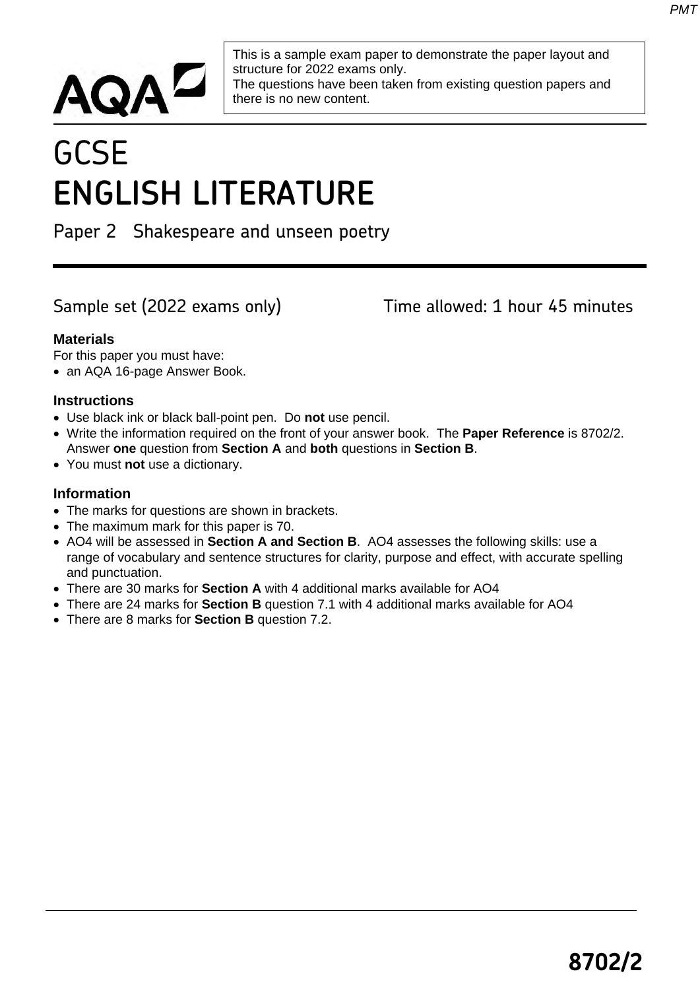

This is a sample exam paper to demonstrate the paper layout and structure for 2022 exams only. The questions have been taken from existing question papers and there is no new content.

# **GCSE ENGLISH LITERATURE**

## Paper 2 Shakespeare and unseen poetry

Sample set (2022 exams only) Time allowed: 1 hour 45 minutes

#### **Materials**

For this paper you must have:

• an AQA 16-page Answer Book.

#### **Instructions**

- Use black ink or black ball-point pen. Do **not** use pencil.
- Write the information required on the front of your answer book. The **Paper Reference** is 8702/2. Answer **one** question from **Section A** and **both** questions in **Section B**.
- You must **not** use a dictionary.

#### **Information**

- The marks for questions are shown in brackets.
- The maximum mark for this paper is 70.
- AO4 will be assessed in **Section A and Section B**. AO4 assesses the following skills: use a range of vocabulary and sentence structures for clarity, purpose and effect, with accurate spelling and punctuation.
- There are 30 marks for **Section A** with 4 additional marks available for AO4
- There are 24 marks for **Section B** question 7.1 with 4 additional marks available for AO4
- There are 8 marks for **Section B** question 7.2.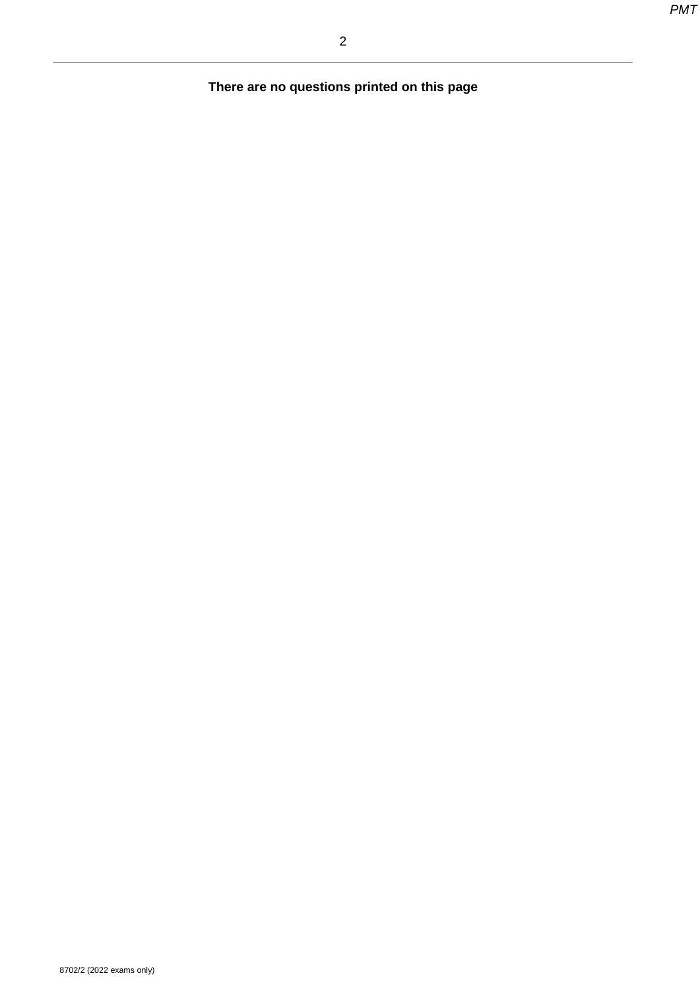**There are no questions printed on this page**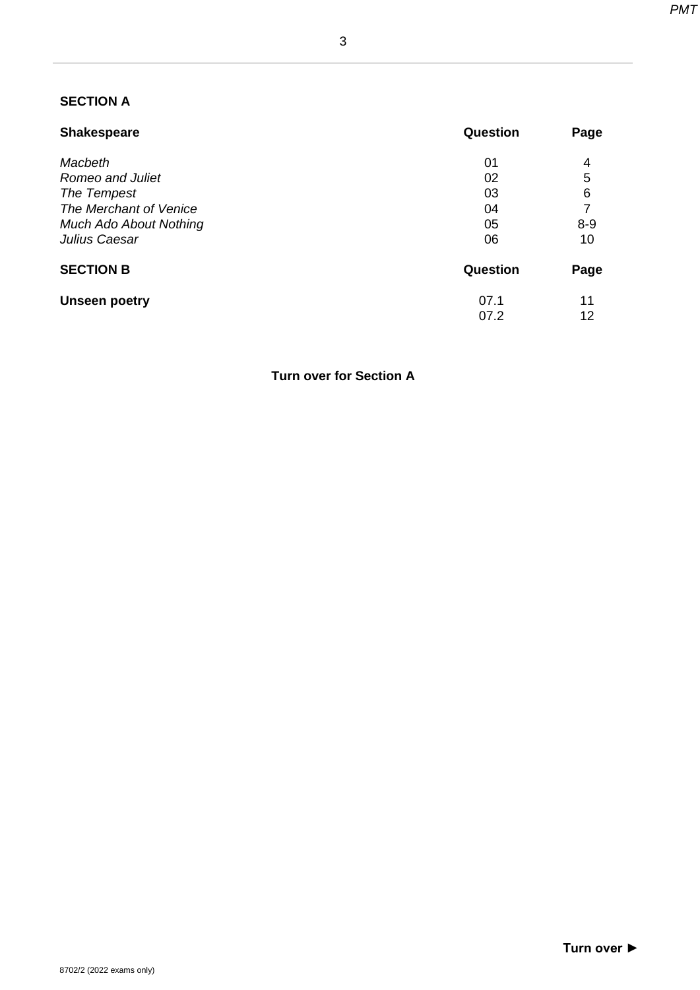### **SECTION A**

| <b>Shakespeare</b>            | Question | Page    |
|-------------------------------|----------|---------|
| Macbeth                       | 01       | 4       |
| Romeo and Juliet              | 02       | 5       |
| The Tempest                   | 03       | 6       |
| The Merchant of Venice        | 04       | 7       |
| <b>Much Ado About Nothing</b> | 05       | $8 - 9$ |
| Julius Caesar                 | 06       | 10      |
| <b>SECTION B</b>              | Question | Page    |
| <b>Unseen poetry</b>          | 07.1     | 11      |
|                               | 07.2     | 12      |

**Turn over for Section A**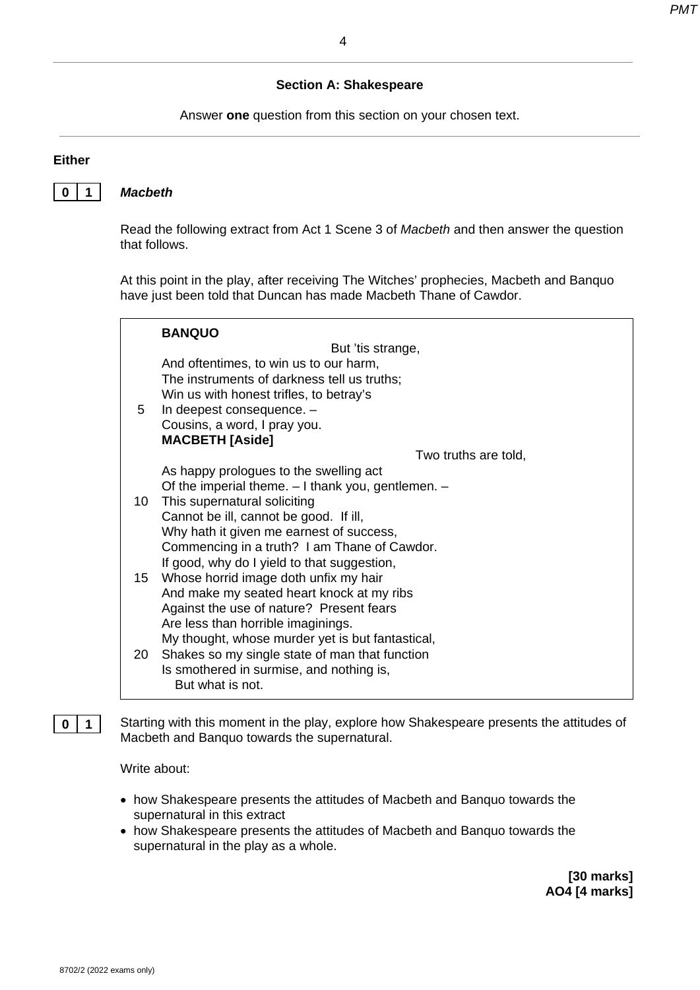#### **Section A: Shakespeare**

Answer **one** question from this section on your chosen text.

#### **Either**



#### **0 1** *Macbeth*

Read the following extract from Act 1 Scene 3 of *Macbeth* and then answer the question that follows.

At this point in the play, after receiving The Witches' prophecies, Macbeth and Banquo have just been told that Duncan has made Macbeth Thane of Cawdor.

|                 | <b>BANQUO</b>                                                                                                                    |  |
|-----------------|----------------------------------------------------------------------------------------------------------------------------------|--|
|                 | But 'tis strange,                                                                                                                |  |
| 5               | And oftentimes, to win us to our harm,<br>The instruments of darkness tell us truths;<br>Win us with honest trifles, to betray's |  |
|                 | In deepest consequence. -                                                                                                        |  |
|                 | Cousins, a word, I pray you.                                                                                                     |  |
|                 | <b>MACBETH [Aside]</b>                                                                                                           |  |
|                 | Two truths are told,                                                                                                             |  |
|                 | As happy prologues to the swelling act                                                                                           |  |
|                 | Of the imperial theme. $-1$ thank you, gentlemen. $-$                                                                            |  |
| 10              | This supernatural soliciting                                                                                                     |  |
|                 | Cannot be ill, cannot be good. If ill,                                                                                           |  |
|                 | Why hath it given me earnest of success,                                                                                         |  |
|                 | Commencing in a truth? I am Thane of Cawdor.                                                                                     |  |
|                 | If good, why do I yield to that suggestion,                                                                                      |  |
| 15 <sup>1</sup> | Whose horrid image doth unfix my hair                                                                                            |  |
|                 | And make my seated heart knock at my ribs                                                                                        |  |
|                 | Against the use of nature? Present fears                                                                                         |  |
|                 | Are less than horrible imaginings.                                                                                               |  |
|                 | My thought, whose murder yet is but fantastical,                                                                                 |  |
| 20              | Shakes so my single state of man that function                                                                                   |  |
|                 | Is smothered in surmise, and nothing is,                                                                                         |  |
|                 | But what is not.                                                                                                                 |  |

**0** | **1** Starting with this moment in the play, explore how Shakespeare presents the attitudes of Macbeth and Banquo towards the supernatural.

Write about:

- how Shakespeare presents the attitudes of Macbeth and Banquo towards the supernatural in this extract
- how Shakespeare presents the attitudes of Macbeth and Banquo towards the supernatural in the play as a whole.

 **[30 marks] AO4 [4 marks]**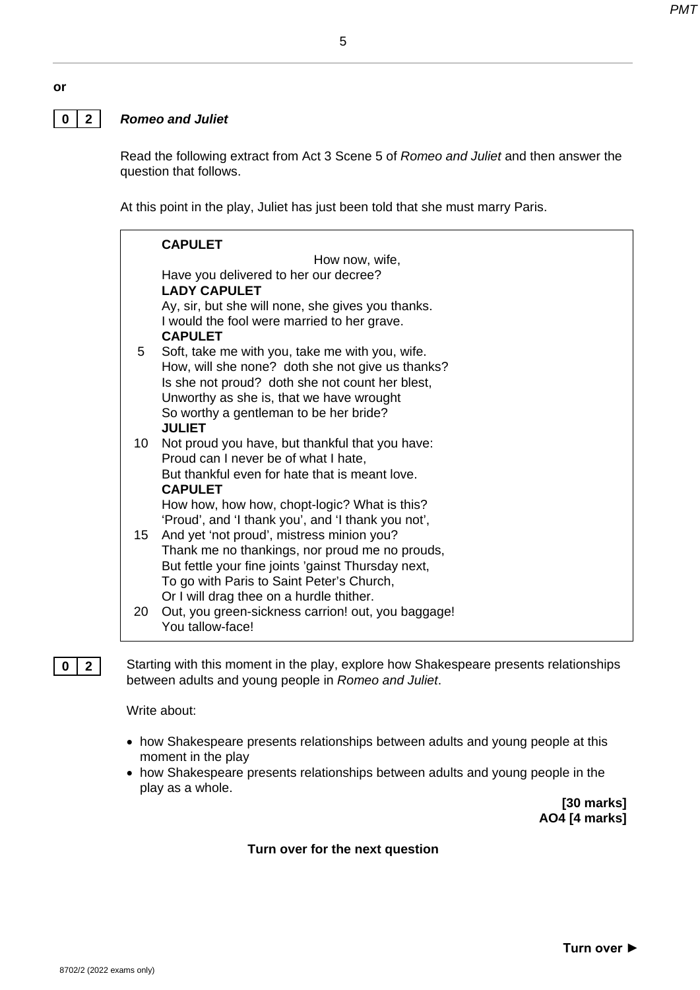#### **0 2** *Romeo and Juliet*

Read the following extract from Act 3 Scene 5 of *Romeo and Juliet* and then answer the question that follows.

At this point in the play, Juliet has just been told that she must marry Paris.

5

|    | <b>CAPULET</b>                                     |
|----|----------------------------------------------------|
|    | How now, wife,                                     |
|    | Have you delivered to her our decree?              |
|    | <b>LADY CAPULET</b>                                |
|    | Ay, sir, but she will none, she gives you thanks.  |
|    | I would the fool were married to her grave.        |
|    | <b>CAPULET</b>                                     |
| 5  | Soft, take me with you, take me with you, wife.    |
|    | How, will she none? doth she not give us thanks?   |
|    | Is she not proud? doth she not count her blest,    |
|    | Unworthy as she is, that we have wrought           |
|    | So worthy a gentleman to be her bride?             |
|    | <b>JULIET</b>                                      |
| 10 | Not proud you have, but thankful that you have:    |
|    | Proud can I never be of what I hate,               |
|    | But thankful even for hate that is meant love.     |
|    | <b>CAPULET</b>                                     |
|    | How how, how how, chopt-logic? What is this?       |
|    | 'Proud', and 'I thank you', and 'I thank you not', |
|    | 15 And yet 'not proud', mistress minion you?       |
|    | Thank me no thankings, nor proud me no prouds,     |
|    | But fettle your fine joints 'gainst Thursday next, |
|    | To go with Paris to Saint Peter's Church,          |
|    | Or I will drag thee on a hurdle thither.           |
| 20 | Out, you green-sickness carrion! out, you baggage! |
|    | You tallow-face!                                   |

**0 2** Starting with this moment in the play, explore how Shakespeare presents relationships between adults and young people in *Romeo and Juliet*.

Write about:

- how Shakespeare presents relationships between adults and young people at this moment in the play
- how Shakespeare presents relationships between adults and young people in the play as a whole.

**[30 marks] AO4 [4 marks]**

**Turn over for the next question**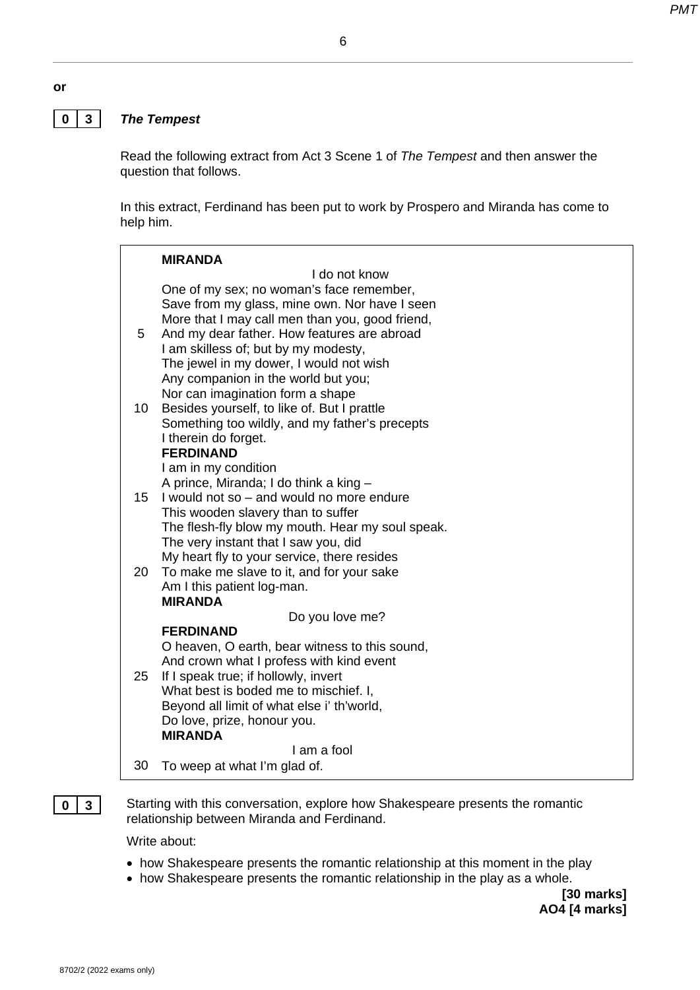#### **0 3** *The Tempest*

Read the following extract from Act 3 Scene 1 of *The Tempest* and then answer the question that follows.

6

In this extract, Ferdinand has been put to work by Prospero and Miranda has come to help him.

|                 | <b>MIRANDA</b>                                                                  |
|-----------------|---------------------------------------------------------------------------------|
|                 | I do not know                                                                   |
|                 | One of my sex; no woman's face remember,                                        |
|                 | Save from my glass, mine own. Nor have I seen                                   |
|                 | More that I may call men than you, good friend,                                 |
| 5               | And my dear father. How features are abroad                                     |
|                 | I am skilless of; but by my modesty,                                            |
|                 | The jewel in my dower, I would not wish                                         |
|                 | Any companion in the world but you;                                             |
|                 | Nor can imagination form a shape                                                |
| 10 <sup>1</sup> | Besides yourself, to like of. But I prattle                                     |
|                 | Something too wildly, and my father's precepts                                  |
|                 | I therein do forget.                                                            |
|                 | <b>FERDINAND</b>                                                                |
|                 | I am in my condition                                                            |
|                 | A prince, Miranda; I do think a king -                                          |
| 15 <sub>1</sub> | I would not so – and would no more endure<br>This wooden slavery than to suffer |
|                 | The flesh-fly blow my mouth. Hear my soul speak.                                |
|                 | The very instant that I saw you, did                                            |
|                 | My heart fly to your service, there resides                                     |
| 20              | To make me slave to it, and for your sake                                       |
|                 | Am I this patient log-man.                                                      |
|                 | <b>MIRANDA</b>                                                                  |
|                 | Do you love me?                                                                 |
|                 | <b>FERDINAND</b>                                                                |
|                 | O heaven, O earth, bear witness to this sound,                                  |
|                 | And crown what I profess with kind event                                        |
| 25              | If I speak true; if hollowly, invert                                            |
|                 | What best is boded me to mischief. I,                                           |
|                 | Beyond all limit of what else i' th'world,                                      |
|                 | Do love, prize, honour you.                                                     |
|                 | <b>MIRANDA</b>                                                                  |
|                 | I am a fool                                                                     |
| 30              | To weep at what I'm glad of.                                                    |
|                 |                                                                                 |

**0 3** Starting with this conversation, explore how Shakespeare presents the romantic relationship between Miranda and Ferdinand.

Write about:

- how Shakespeare presents the romantic relationship at this moment in the play
- how Shakespeare presents the romantic relationship in the play as a whole.

**[30 marks] AO4 [4 marks]**

**or**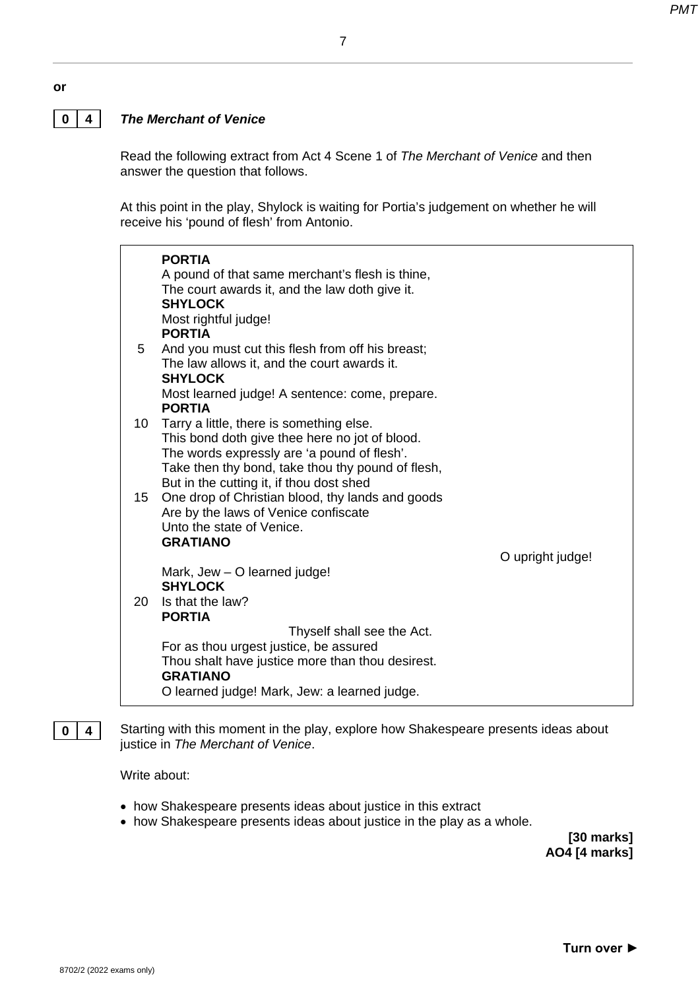#### **0 4** *The Merchant of Venice*

Read the following extract from Act 4 Scene 1 of *The Merchant of Venice* and then answer the question that follows.

7

At this point in the play, Shylock is waiting for Portia's judgement on whether he will receive his 'pound of flesh' from Antonio.

|                 | <b>PORTIA</b>                                                                                   |                  |
|-----------------|-------------------------------------------------------------------------------------------------|------------------|
|                 | A pound of that same merchant's flesh is thine,                                                 |                  |
|                 | The court awards it, and the law doth give it.                                                  |                  |
|                 | <b>SHYLOCK</b>                                                                                  |                  |
|                 | Most rightful judge!                                                                            |                  |
|                 | <b>PORTIA</b>                                                                                   |                  |
| 5               | And you must cut this flesh from off his breast;<br>The law allows it, and the court awards it. |                  |
|                 | <b>SHYLOCK</b>                                                                                  |                  |
|                 | Most learned judge! A sentence: come, prepare.                                                  |                  |
|                 | <b>PORTIA</b>                                                                                   |                  |
| 10              | Tarry a little, there is something else.                                                        |                  |
|                 | This bond doth give thee here no jot of blood.                                                  |                  |
|                 | The words expressly are 'a pound of flesh'.                                                     |                  |
|                 | Take then thy bond, take thou thy pound of flesh,                                               |                  |
|                 | But in the cutting it, if thou dost shed                                                        |                  |
| 15 <sub>1</sub> | One drop of Christian blood, thy lands and goods                                                |                  |
|                 | Are by the laws of Venice confiscate<br>Unto the state of Venice.                               |                  |
|                 | <b>GRATIANO</b>                                                                                 |                  |
|                 |                                                                                                 | O upright judge! |
|                 | Mark, Jew - O learned judge!                                                                    |                  |
|                 | <b>SHYLOCK</b>                                                                                  |                  |
| 20              | Is that the law?                                                                                |                  |
|                 | <b>PORTIA</b>                                                                                   |                  |
|                 | Thyself shall see the Act.                                                                      |                  |
|                 | For as thou urgest justice, be assured                                                          |                  |
|                 | Thou shalt have justice more than thou desirest.<br><b>GRATIANO</b>                             |                  |
|                 | O learned judge! Mark, Jew: a learned judge.                                                    |                  |
|                 |                                                                                                 |                  |

**0** 4 Starting with this moment in the play, explore how Shakespeare presents ideas about justice in *The Merchant of Venice*.

Write about:

- how Shakespeare presents ideas about justice in this extract
- how Shakespeare presents ideas about justice in the play as a whole.

 **[30 marks] AO4 [4 marks]**

**or**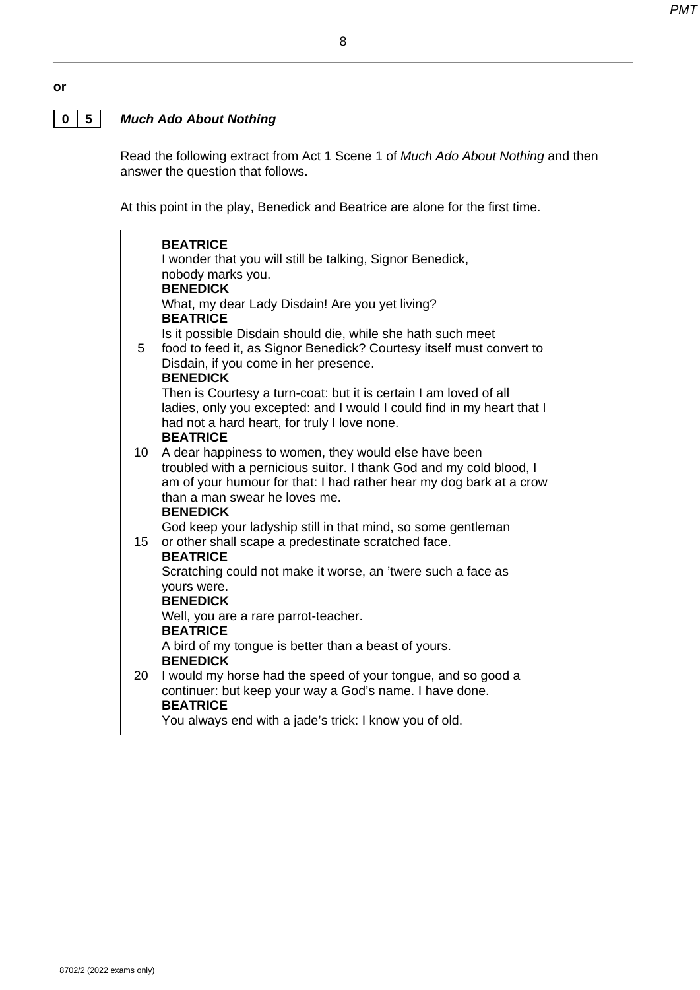#### **0 5** *Much Ado About Nothing*

Read the following extract from Act 1 Scene 1 of *Much Ado About Nothing* and then answer the question that follows.

At this point in the play, Benedick and Beatrice are alone for the first time.

|                 | <b>BEATRICE</b><br>I wonder that you will still be talking, Signor Benedick,<br>nobody marks you.<br><b>BENEDICK</b>                                                                                                                                   |
|-----------------|--------------------------------------------------------------------------------------------------------------------------------------------------------------------------------------------------------------------------------------------------------|
|                 | What, my dear Lady Disdain! Are you yet living?                                                                                                                                                                                                        |
|                 | <b>BEATRICE</b>                                                                                                                                                                                                                                        |
| 5               | Is it possible Disdain should die, while she hath such meet<br>food to feed it, as Signor Benedick? Courtesy itself must convert to<br>Disdain, if you come in her presence.<br><b>BENEDICK</b>                                                        |
|                 | Then is Courtesy a turn-coat: but it is certain I am loved of all<br>ladies, only you excepted: and I would I could find in my heart that I<br>had not a hard heart, for truly I love none.<br><b>BEATRICE</b>                                         |
| 10 <sup>°</sup> | A dear happiness to women, they would else have been<br>troubled with a pernicious suitor. I thank God and my cold blood, I<br>am of your humour for that: I had rather hear my dog bark at a crow<br>than a man swear he loves me.<br><b>BENEDICK</b> |
| 15 <sub>1</sub> | God keep your ladyship still in that mind, so some gentleman<br>or other shall scape a predestinate scratched face.<br><b>BEATRICE</b>                                                                                                                 |
|                 | Scratching could not make it worse, an 'twere such a face as<br>yours were.<br><b>BENEDICK</b>                                                                                                                                                         |
|                 | Well, you are a rare parrot-teacher.                                                                                                                                                                                                                   |
|                 | <b>BEATRICE</b>                                                                                                                                                                                                                                        |
|                 | A bird of my tongue is better than a beast of yours.                                                                                                                                                                                                   |
| 20              | <b>BENEDICK</b><br>I would my horse had the speed of your tongue, and so good a<br>continuer: but keep your way a God's name. I have done.<br><b>BEATRICE</b>                                                                                          |
|                 | You always end with a jade's trick: I know you of old.                                                                                                                                                                                                 |

**or**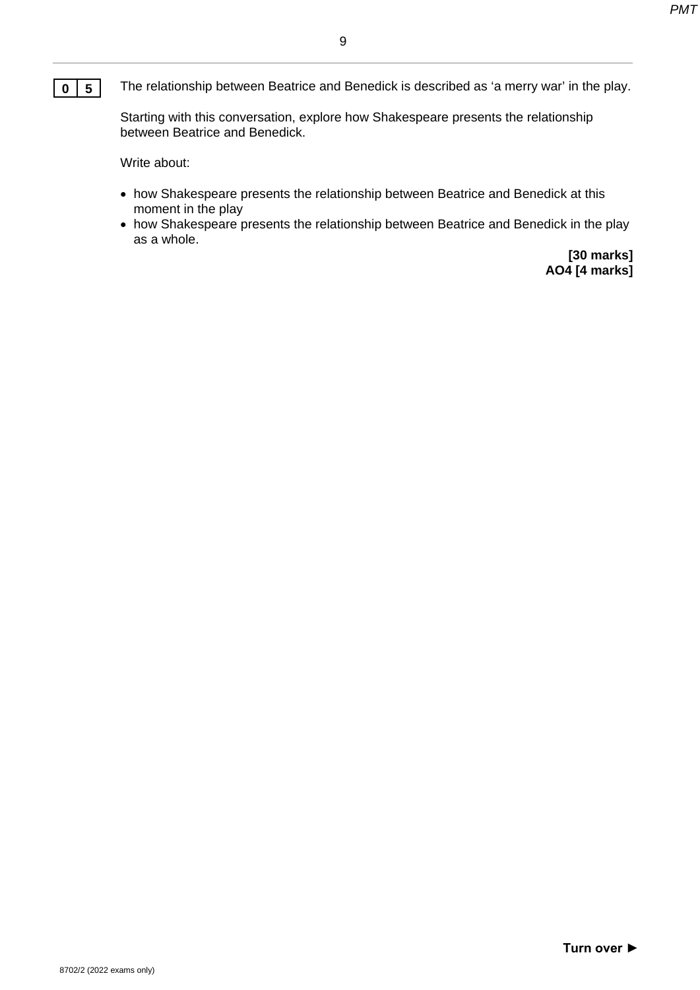#### 9

### **0 5** The relationship between Beatrice and Benedick is described as 'a merry war' in the play.

Starting with this conversation, explore how Shakespeare presents the relationship between Beatrice and Benedick.

Write about:

- how Shakespeare presents the relationship between Beatrice and Benedick at this moment in the play
- how Shakespeare presents the relationship between Beatrice and Benedick in the play as a whole.

 **[30 marks] AO4 [4 marks]**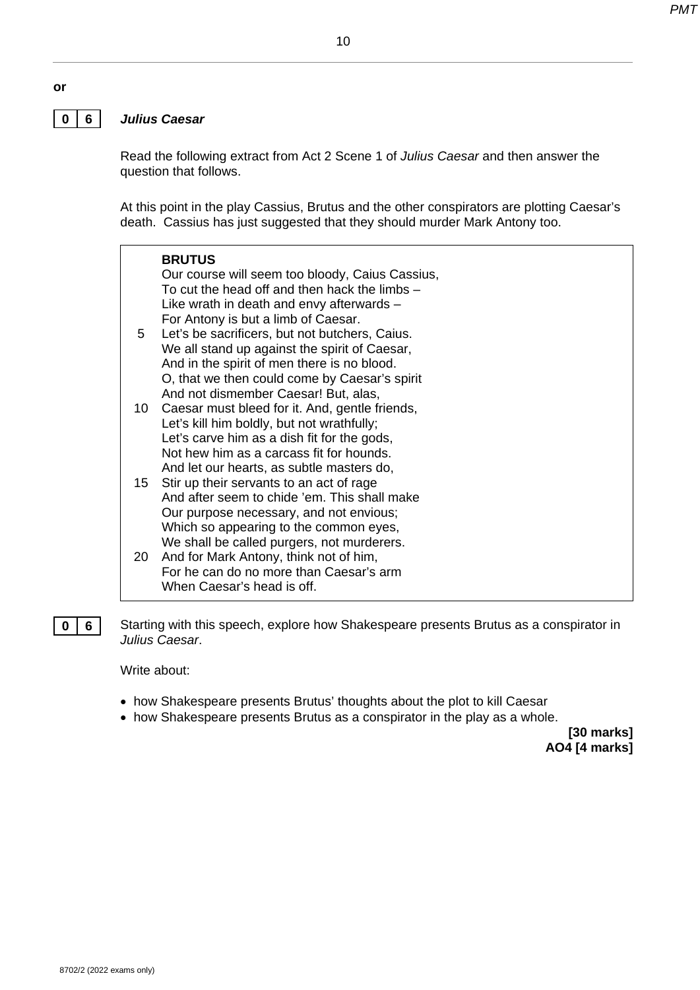#### **0 6** *Julius Caesar*

Read the following extract from Act 2 Scene 1 of *Julius Caesar* and then answer the question that follows.

At this point in the play Cassius, Brutus and the other conspirators are plotting Caesar's death. Cassius has just suggested that they should murder Mark Antony too.

| 5  | <b>BRUTUS</b><br>Our course will seem too bloody, Caius Cassius,<br>To cut the head off and then hack the limbs -<br>Like wrath in death and envy afterwards -<br>For Antony is but a limb of Caesar.<br>Let's be sacrificers, but not butchers, Caius.<br>We all stand up against the spirit of Caesar,<br>And in the spirit of men there is no blood. |
|----|---------------------------------------------------------------------------------------------------------------------------------------------------------------------------------------------------------------------------------------------------------------------------------------------------------------------------------------------------------|
| 10 | O, that we then could come by Caesar's spirit<br>And not dismember Caesar! But, alas,<br>Caesar must bleed for it. And, gentle friends,<br>Let's kill him boldly, but not wrathfully;<br>Let's carve him as a dish fit for the gods,                                                                                                                    |
| 15 | Not hew him as a carcass fit for hounds.<br>And let our hearts, as subtle masters do,<br>Stir up their servants to an act of rage<br>And after seem to chide 'em. This shall make<br>Our purpose necessary, and not envious;                                                                                                                            |
| 20 | Which so appearing to the common eyes,<br>We shall be called purgers, not murderers.<br>And for Mark Antony, think not of him,<br>For he can do no more than Caesar's arm<br>When Caesar's head is off.                                                                                                                                                 |

**0 6** Starting with this speech, explore how Shakespeare presents Brutus as a conspirator in *Julius Caesar*.

Write about:

- how Shakespeare presents Brutus' thoughts about the plot to kill Caesar
- how Shakespeare presents Brutus as a conspirator in the play as a whole.

 **[30 marks] AO4 [4 marks]**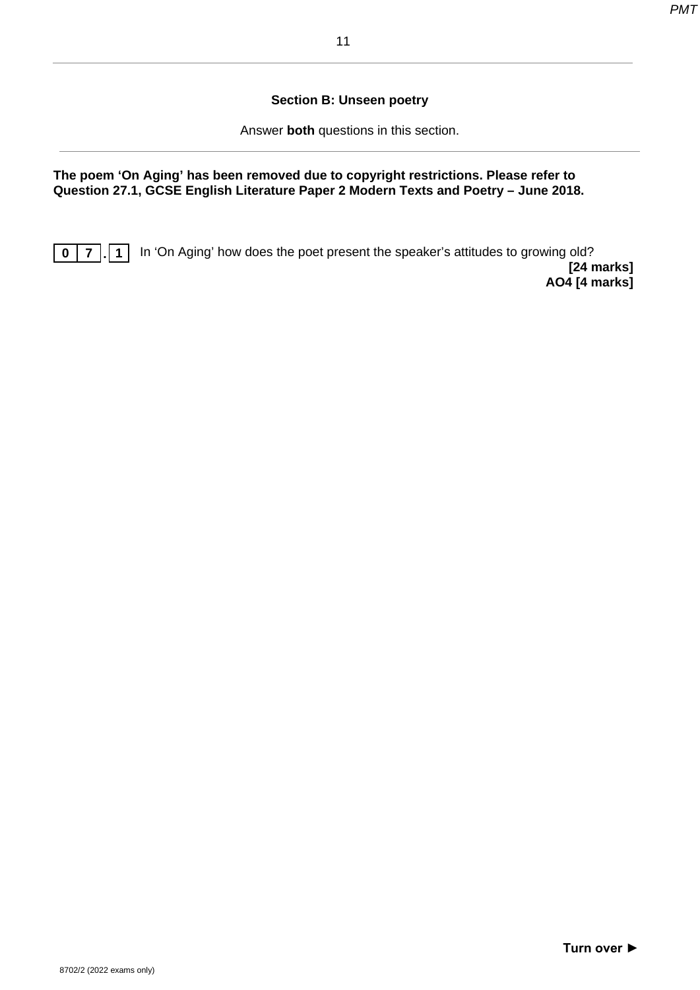#### **Section B: Unseen poetry**

Answer **both** questions in this section.

**The poem 'On Aging' has been removed due to copyright restrictions. Please refer to Question 27.1, GCSE English Literature Paper 2 Modern Texts and Poetry – June 2018.**

**0 7 1** In 'On Aging' how does the poet present the speaker's attitudes to growing old? **[24 marks] AO4 [4 marks]**